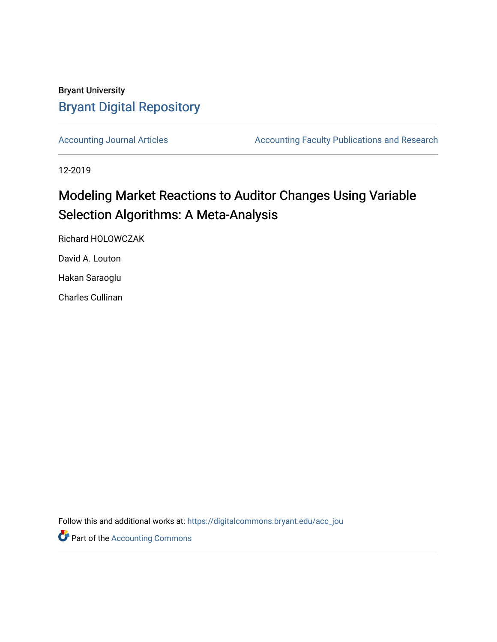# Bryant University [Bryant Digital Repository](https://digitalcommons.bryant.edu/)

[Accounting Journal Articles](https://digitalcommons.bryant.edu/acc_jou) **Accounting Faculty Publications and Research** 

12-2019

# Modeling Market Reactions to Auditor Changes Using Variable Selection Algorithms: A Meta-Analysis

Richard HOLOWCZAK

David A. Louton

Hakan Saraoglu

Charles Cullinan

Follow this and additional works at: [https://digitalcommons.bryant.edu/acc\\_jou](https://digitalcommons.bryant.edu/acc_jou?utm_source=digitalcommons.bryant.edu%2Facc_jou%2F157&utm_medium=PDF&utm_campaign=PDFCoverPages)

**Part of the [Accounting Commons](http://network.bepress.com/hgg/discipline/625?utm_source=digitalcommons.bryant.edu%2Facc_jou%2F157&utm_medium=PDF&utm_campaign=PDFCoverPages)**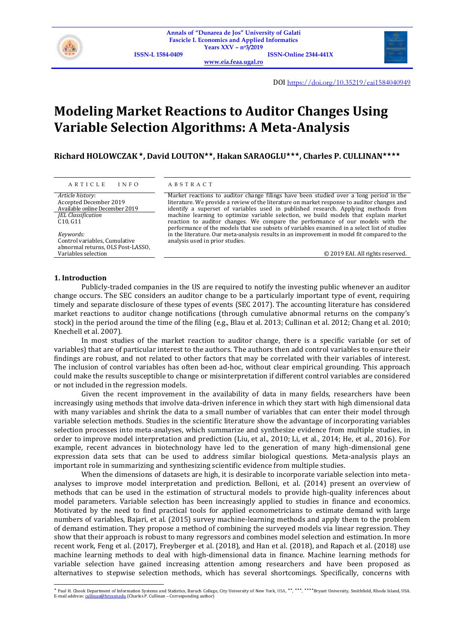

**[www.eia.feaa.ugal.ro](http://www.eia.feaa.ugal.ro/)**



DOI <https://doi.org/10.35219/eai1584040949>

# **Modeling Market Reactions to Auditor Changes Using Variable Selection Algorithms: A Meta-Analysis**

**Richard HOLOWCZAK , David LOUTON, Hakan SARAOGLU, Charles P. CULLINAN**

## A R T I C L E I N F O A B S T R A C T

*Article history*: Accepted December 2019 Available online December 2019 *JEL Classification* C10, G11

*Keywords:* Control variables, Cumulative abnormal returns, OLS Post-LASSO, Variables selection

Market reactions to auditor change filings have been studied over a long period in the literature. We provide a review of the literature on market response to auditor changes and identify a superset of variables used in published research. Applying methods from machine learning to optimize variable selection, we build models that explain market reaction to auditor changes. We compare the performance of our models with the performance of the models that use subsets of variables examined in a select list of studies in the literature. Our meta-analysis results in an improvement in model fit compared to the analysis used in prior studies.

© 2019 EAI. All rights reserved.

#### **1. Introduction**

Publicly-traded companies in the US are required to notify the investing public whenever an auditor change occurs. The SEC considers an auditor change to be a particularly important type of event, requiring timely and separate disclosure of these types of events (SEC 2017). The accounting literature has considered market reactions to auditor change notifications (through cumulative abnormal returns on the company's stock) in the period around the time of the filing (e.g., Blau et al. 2013; Cullinan et al. 2012; Chang et al. 2010; Knechell et al. 2007).

In most studies of the market reaction to auditor change, there is a specific variable (or set of variables) that are of particular interest to the authors. The authors then add control variables to ensure their findings are robust, and not related to other factors that may be correlated with their variables of interest. The inclusion of control variables has often been ad-hoc, without clear empirical grounding. This approach could make the results susceptible to change or misinterpretation if different control variables are considered or not included in the regression models.

Given the recent improvement in the availability of data in many fields, researchers have been increasingly using methods that involve data-driven inference in which they start with high dimensional data with many variables and shrink the data to a small number of variables that can enter their model through variable selection methods. Studies in the scientific literature show the advantage of incorporating variables selection processes into meta-analyses, which summarize and synthesize evidence from multiple studies, in order to improve model interpretation and prediction (Liu, et al., 2010; Li, et al., 2014; He, et al., 2016). For example, recent advances in biotechnology have led to the generation of many high-dimensional gene expression data sets that can be used to address similar biological questions. Meta-analysis plays an important role in summarizing and synthesizing scientific evidence from multiple studies.

When the dimensions of datasets are high, it is desirable to incorporate variable selection into metaanalyses to improve model interpretation and prediction. Belloni, et al. (2014) present an overview of methods that can be used in the estimation of structural models to provide high-quality inferences about model parameters. Variable selection has been increasingly applied to studies in finance and economics. Motivated by the need to find practical tools for applied econometricians to estimate demand with large numbers of variables, Bajari, et al. (2015) survey machine-learning methods and apply them to the problem of demand estimation. They propose a method of combining the surveyed models via linear regression. They show that their approach is robust to many regressors and combines model selection and estimation. In more recent work, Feng et al. (2017), Freyberger et al. (2018), and Han et al. (2018), and Rapach et al. (2018) use machine learning methods to deal with high-dimensional data in finance. Machine learning methods for variable selection have gained increasing attention among researchers and have been proposed as alternatives to stepwise selection methods, which has several shortcomings. Specifically, concerns with

<sup>\*</sup> Paul H. Chook Department of Information Systems and Statistics, Baruch College, City University of New York, USA, \*\*, \*\*\*, \*\*\*\*Bryant University, Smithfield, Rhode Island, USA. E-mail address[: cullinan@bryant.edu](mailto:cullinan@bryant.edu) (Charles P. Cullinan - Corresponding author)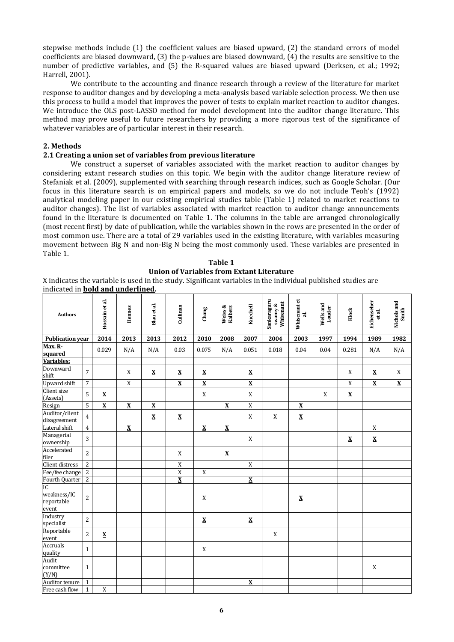stepwise methods include (1) the coefficient values are biased upward, (2) the standard errors of model coefficients are biased downward, (3) the p-values are biased downward, (4) the results are sensitive to the number of predictive variables, and (5) the R-squared values are biased upward (Derksen, et al.; 1992; Harrell, 2001).

We contribute to the accounting and finance research through a review of the literature for market response to auditor changes and by developing a meta-analysis based variable selection process. We then use this process to build a model that improves the power of tests to explain market reaction to auditor changes. We introduce the OLS post-LASSO method for model development into the auditor change literature. This method may prove useful to future researchers by providing a more rigorous test of the significance of whatever variables are of particular interest in their research.

# **2. Methods**

# **2.1 Creating a union set of variables from previous literature**

We construct a superset of variables associated with the market reaction to auditor changes by considering extant research studies on this topic. We begin with the auditor change literature review of Stefaniak et al. (2009), supplemented with searching through research indices, such as Google Scholar. (Our focus in this literature search is on empirical papers and models, so we do not include Teoh's (1992) analytical modeling paper in our existing empirical studies table (Table 1) related to market reactions to auditor changes). The list of variables associated with market reaction to auditor change announcements found in the literature is documented on Table 1. The columns in the table are arranged chronologically (most recent first) by date of publication, while the variables shown in the rows are presented in the order of most common use. There are a total of 29 variables used in the existing literature, with variables measuring movement between Big N and non-Big N being the most commonly used. These variables are presented in Table 1.

#### **Table 1 Union of Variables from Extant Literature**

X indicates the variable is used in the study. Significant variables in the individual published studies are indicated in **bold and underlined.**

| <b>Authors</b>                           |                | Hossain et al.          | Hennes                   | Blau et al.              | Cullinan                 | Chang                    | Weiss &<br>Kalbers       | Knechell                 | Sankaraguru<br>swamy &<br>Whisenant | Whisenant et<br>$\vec{a}$ | Wells and<br>Louder | Klock              | Eichenseher<br>et al.   | Nichols and<br>Smith    |
|------------------------------------------|----------------|-------------------------|--------------------------|--------------------------|--------------------------|--------------------------|--------------------------|--------------------------|-------------------------------------|---------------------------|---------------------|--------------------|-------------------------|-------------------------|
| <b>Publication year</b>                  |                | 2014                    | 2013                     | 2013                     | 2012                     | 2010                     | 2008                     | 2007                     | 2004                                | 2003                      | 1997                | 1994               | 1989                    | 1982                    |
| Max. R-<br>squared                       |                | 0.029                   | N/A                      | N/A                      | 0.03                     | 0.075                    | N/A                      | 0.051                    | 0.018                               | 0.04                      | 0.04                | 0.281              | N/A                     | N/A                     |
| Variables:                               |                |                         |                          |                          |                          |                          |                          |                          |                                     |                           |                     |                    |                         |                         |
| Downward<br>shift                        | 7              |                         | X                        | $\pmb{\mathsf{X}}$       | $\pmb{\mathsf{X}}$       | $\mathbf X$              |                          | $\mathbf X$              |                                     |                           |                     | X                  | $\mathbf X$             | X                       |
| <b>Upward</b> shift                      | 7              |                         | $\overline{X}$           |                          | $\overline{\mathbf{X}}$  | $\overline{\mathbf{X}}$  |                          | $\overline{\mathbf{X}}$  |                                     |                           |                     | X                  | $\overline{\mathbf{X}}$ | $\overline{\textbf{X}}$ |
| Client size<br>(Assets)<br>Resign        | 5              | $\mathbf X$             |                          |                          |                          | X                        |                          | X                        |                                     |                           | X                   | $\pmb{\mathsf{X}}$ |                         |                         |
|                                          | 5              | $\overline{\mathbf{X}}$ | $\overline{\mathbf{X}}$  | $\overline{\mathbf{X}}$  |                          |                          | $\overline{\mathbf{X}}$  | $\overline{\text{X}}$    |                                     | $\bf{X}$                  |                     |                    |                         |                         |
| Auditor/client<br>disagreement           | $\overline{4}$ |                         |                          | $\underline{\textbf{X}}$ | $\underline{\textbf{X}}$ |                          |                          | X                        | X                                   | $\underline{\textbf{X}}$  |                     |                    |                         |                         |
| Lateral shift                            | $\overline{4}$ |                         | $\underline{\mathbf{X}}$ |                          |                          | $\underline{\textbf{X}}$ | $\underline{\mathbf{X}}$ |                          |                                     |                           |                     |                    | X                       |                         |
| Managerial<br>ownership                  | 3              |                         |                          |                          |                          |                          |                          | X                        |                                     |                           |                     | $\pmb{\mathsf{X}}$ | $\mathbf X$             |                         |
| Accelerated<br>filer                     | $\overline{c}$ |                         |                          |                          | X                        |                          | $\underline{\mathbf{X}}$ |                          |                                     |                           |                     |                    |                         |                         |
| Client distress                          | $\overline{c}$ |                         |                          |                          | $\mathbf X$              |                          |                          | $\mathbf X$              |                                     |                           |                     |                    |                         |                         |
| Fee/fee change                           | $\overline{2}$ |                         |                          |                          | $\overline{\text{X}}$    | $\overline{X}$           |                          |                          |                                     |                           |                     |                    |                         |                         |
| Fourth Quarter                           | $\overline{c}$ |                         |                          |                          | $\overline{\mathbf{X}}$  |                          |                          | $\bf{X}$                 |                                     |                           |                     |                    |                         |                         |
| IC<br>weakness/IC<br>reportable<br>event | $\overline{c}$ |                         |                          |                          |                          | X                        |                          |                          |                                     | $\boldsymbol{\mathrm{X}}$ |                     |                    |                         |                         |
| Industry<br>specialist                   | 2              |                         |                          |                          |                          | $\underline{\mathbf{X}}$ |                          | $\underline{\mathbf{X}}$ |                                     |                           |                     |                    |                         |                         |
| Reportable<br>event                      | $\overline{2}$ | X                       |                          |                          |                          |                          |                          |                          | X                                   |                           |                     |                    |                         |                         |
| Accruals<br>quality                      | $\mathbf{1}$   |                         |                          |                          |                          | X                        |                          |                          |                                     |                           |                     |                    |                         |                         |
| Audit<br>committee<br>(Y/N)              | $\mathbf{1}$   |                         |                          |                          |                          |                          |                          |                          |                                     |                           |                     |                    | X                       |                         |
| Auditor tenure                           | $\mathbf{1}$   |                         |                          |                          |                          |                          |                          | $\bf{X}$                 |                                     |                           |                     |                    |                         |                         |
| Free cash flow                           | $\mathbf{1}$   | $\mathbf X$             |                          |                          |                          |                          |                          |                          |                                     |                           |                     |                    |                         |                         |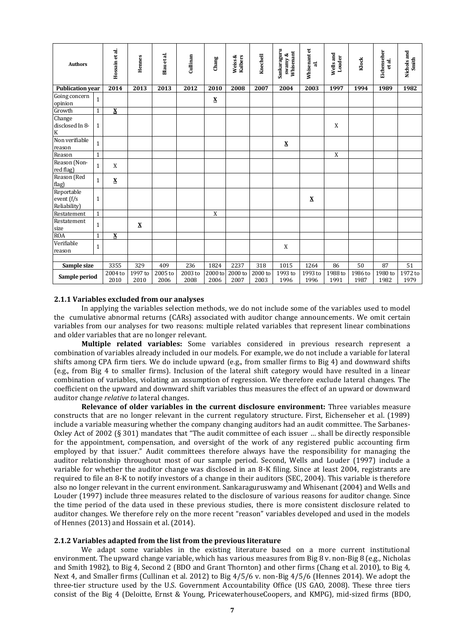| <b>Authors</b>                                       |              | Hossain et al.           | Hennes                      | Blau et al.     | Cullinan        | Chang                    | Weiss &<br>Kalbers          | Knechell         | Sankaraguru<br>Whisenant<br>swamy $\&$ | Whisenantet<br>ನ         | Wells and<br>Louder | Klock                        | Eichenseher<br>et al. | Nichols and<br>Smith |
|------------------------------------------------------|--------------|--------------------------|-----------------------------|-----------------|-----------------|--------------------------|-----------------------------|------------------|----------------------------------------|--------------------------|---------------------|------------------------------|-----------------------|----------------------|
| <b>Publication year</b>                              |              | 2014                     | 2013                        | 2013            | 2012            | 2010                     | 2008                        | 2007             | 2004                                   | 2003                     | 1997                | 1994                         | 1989                  | 1982                 |
| Going concern<br>opinion                             | $\mathbf{1}$ |                          |                             |                 |                 | $\underline{\textbf{X}}$ |                             |                  |                                        |                          |                     |                              |                       |                      |
| Growth                                               | $\mathbf{1}$ | $\underline{\mathbf{X}}$ |                             |                 |                 |                          |                             |                  |                                        |                          |                     |                              |                       |                      |
| Change<br>disclosed In 8-<br>$\overline{\mathbf{K}}$ | $\mathbf{1}$ |                          |                             |                 |                 |                          |                             |                  |                                        |                          | X                   |                              |                       |                      |
| Non verifiable<br>reason                             | $\mathbf{1}$ |                          |                             |                 |                 |                          |                             |                  | $\underline{\textbf{X}}$               |                          |                     |                              |                       |                      |
| Reason                                               | $\mathbf{1}$ |                          |                             |                 |                 |                          |                             |                  |                                        |                          | X                   |                              |                       |                      |
| Reason (Non-<br>red flag)                            | $\mathbf{1}$ | X                        |                             |                 |                 |                          |                             |                  |                                        |                          |                     |                              |                       |                      |
| Reason (Red<br>flag)                                 | $\mathbf{1}$ | $\underline{\textbf{X}}$ |                             |                 |                 |                          |                             |                  |                                        |                          |                     |                              |                       |                      |
| Reportable<br>event (f/s<br>Reliability)             | $\mathbf{1}$ |                          |                             |                 |                 |                          |                             |                  |                                        | $\underline{\textbf{X}}$ |                     |                              |                       |                      |
| Restatement                                          | $\mathbf{1}$ |                          |                             |                 |                 | X                        |                             |                  |                                        |                          |                     |                              |                       |                      |
| Restatement<br>size                                  | $\mathbf{1}$ |                          | X                           |                 |                 |                          |                             |                  |                                        |                          |                     |                              |                       |                      |
| <b>ROA</b>                                           | $\mathbf{1}$ | $\underline{\mathbf{X}}$ |                             |                 |                 |                          |                             |                  |                                        |                          |                     |                              |                       |                      |
| Verifiable<br>reason                                 | $\mathbf{1}$ |                          |                             |                 |                 |                          |                             |                  | X                                      |                          |                     |                              |                       |                      |
|                                                      |              |                          |                             |                 |                 |                          |                             |                  |                                        |                          |                     |                              |                       |                      |
| Sample size                                          |              | 3355                     | 329                         | 409             | 236             | 1824                     | 2237                        | $\overline{318}$ | 1015                                   | 1264                     | 86                  | 50                           | 87                    | 51                   |
| Sample period                                        |              | 2004 to<br>2010          | $1997\,\mathrm{to}$<br>2010 | 2005 to<br>2006 | 2003 to<br>2008 | 2000 to<br>2006          | $2000\,\mathrm{to}$<br>2007 | 2000 to<br>2003  | 1993 to<br>1996                        | 1993 to<br>1996          | 1988 to<br>1991     | $\overline{1986}$ to<br>1987 | 1980 to<br>1982       | 1972 to<br>1979      |

### **2.1.1 Variables excluded from our analyses**

In applying the variables selection methods, we do not include some of the variables used to model the cumulative abnormal returns (CARs) associated with auditor change announcements. We omit certain variables from our analyses for two reasons: multiple related variables that represent linear combinations and older variables that are no longer relevant.

**Multiple related variables:** Some variables considered in previous research represent a combination of variables already included in our models. For example, we do not include a variable for lateral shifts among CPA firm tiers. We do include upward (e.g., from smaller firms to Big 4) and downward shifts (e.g., from Big 4 to smaller firms). Inclusion of the lateral shift category would have resulted in a linear combination of variables, violating an assumption of regression. We therefore exclude lateral changes. The coefficient on the upward and downward shift variables thus measures the effect of an upward or downward auditor change *relative to* lateral changes.

**Relevance of older variables in the current disclosure environment:** Three variables measure constructs that are no longer relevant in the current regulatory structure. First, Eichenseher et al. (1989) include a variable measuring whether the company changing auditors had an audit committee. The Sarbanes-Oxley Act of 2002 (§ 301) mandates that "The audit committee of each issuer … shall be directly responsible for the appointment, compensation, and oversight of the work of any registered public accounting firm employed by that issuer." Audit committees therefore always have the responsibility for managing the auditor relationship throughout most of our sample period. Second, Wells and Louder (1997) include a variable for whether the auditor change was disclosed in an 8-K filing. Since at least 2004, registrants are required to file an 8-K to notify investors of a change in their auditors (SEC, 2004). This variable is therefore also no longer relevant in the current environment. Sankaraguruswamy and Whisenant (2004) and Wells and Louder (1997) include three measures related to the disclosure of various reasons for auditor change. Since the time period of the data used in these previous studies, there is more consistent disclosure related to auditor changes. We therefore rely on the more recent "reason" variables developed and used in the models of Hennes (2013) and Hossain et al. (2014).

# **2.1.2 Variables adapted from the list from the previous literature**

We adapt some variables in the existing literature based on a more current institutional environment. The upward change variable, which has various measures from Big 8 v. non-Big 8 (e.g., Nicholas and Smith 1982), to Big 4, Second 2 (BDO and Grant Thornton) and other firms (Chang et al. 2010), to Big 4, Next 4, and Smaller firms (Cullinan et al. 2012) to Big 4/5/6 v. non-Big 4/5/6 (Hennes 2014). We adopt the three-tier structure used by the U.S. Government Accountability Office (US GAO, 2008). These three tiers consist of the Big 4 (Deloitte, Ernst & Young, PricewaterhouseCoopers, and KMPG), mid-sized firms (BDO,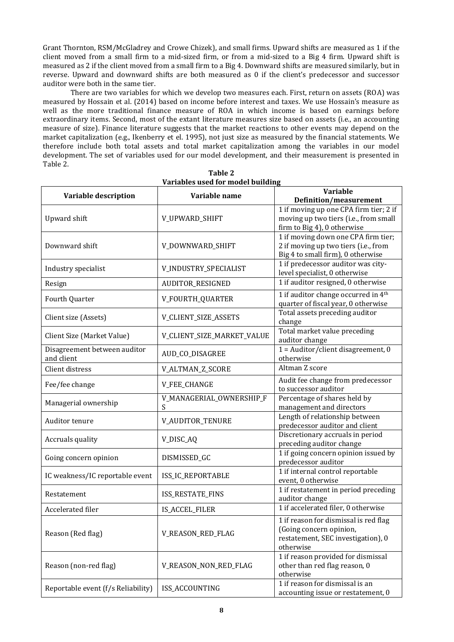Grant Thornton, RSM/McGladrey and Crowe Chizek), and small firms. Upward shifts are measured as 1 if the client moved from a small firm to a mid-sized firm, or from a mid-sized to a Big 4 firm. Upward shift is measured as 2 if the client moved from a small firm to a Big 4. Downward shifts are measured similarly, but in reverse. Upward and downward shifts are both measured as 0 if the client's predecessor and successor auditor were both in the same tier.

There are two variables for which we develop two measures each. First, return on assets (ROA) was measured by Hossain et al. (2014) based on income before interest and taxes. We use Hossain's measure as well as the more traditional finance measure of ROA in which income is based on earnings before extraordinary items. Second, most of the extant literature measures size based on assets (i.e., an accounting measure of size). Finance literature suggests that the market reactions to other events may depend on the market capitalization (e.g., Ikenberry et el. 1995), not just size as measured by the financial statements. We therefore include both total assets and total market capitalization among the variables in our model development. The set of variables used for our model development, and their measurement is presented in Table 2.

| Variable description               | Variable name              | <b>Variable</b>                                 |  |  |  |
|------------------------------------|----------------------------|-------------------------------------------------|--|--|--|
|                                    |                            | <b>Definition/measurement</b>                   |  |  |  |
|                                    |                            | 1 if moving up one CPA firm tier; 2 if          |  |  |  |
| Upward shift                       | V_UPWARD_SHIFT             | moving up two tiers (i.e., from small           |  |  |  |
|                                    |                            | firm to Big 4), 0 otherwise                     |  |  |  |
|                                    |                            | 1 if moving down one CPA firm tier;             |  |  |  |
| Downward shift                     | V_DOWNWARD_SHIFT           | 2 if moving up two tiers (i.e., from            |  |  |  |
|                                    |                            | Big 4 to small firm), 0 otherwise               |  |  |  |
|                                    |                            | 1 if predecessor auditor was city-              |  |  |  |
| Industry specialist                | V_INDUSTRY_SPECIALIST      | level specialist, 0 otherwise                   |  |  |  |
| Resign                             | AUDITOR_RESIGNED           | 1 if auditor resigned, 0 otherwise              |  |  |  |
| Fourth Quarter                     | V_FOURTH_QUARTER           | 1 if auditor change occurred in 4 <sup>th</sup> |  |  |  |
|                                    |                            | quarter of fiscal year, 0 otherwise             |  |  |  |
| Client size (Assets)               | V_CLIENT_SIZE_ASSETS       | Total assets preceding auditor                  |  |  |  |
|                                    |                            | change                                          |  |  |  |
| Client Size (Market Value)         | V_CLIENT_SIZE_MARKET_VALUE | Total market value preceding                    |  |  |  |
|                                    |                            | auditor change                                  |  |  |  |
| Disagreement between auditor       | AUD_CO_DISAGREE            | $1 =$ Auditor/client disagreement, 0            |  |  |  |
| and client                         |                            | otherwise                                       |  |  |  |
| Client distress                    | V_ALTMAN_Z_SCORE           | Altman Z score                                  |  |  |  |
| Fee/fee change                     |                            | Audit fee change from predecessor               |  |  |  |
|                                    | V_FEE_CHANGE               | to successor auditor                            |  |  |  |
| Managerial ownership               | V_MANAGERIAL_OWNERSHIP_F   | Percentage of shares held by                    |  |  |  |
|                                    | S                          | management and directors                        |  |  |  |
| Auditor tenure                     | V_AUDITOR_TENURE           | Length of relationship between                  |  |  |  |
|                                    |                            | predecessor auditor and client                  |  |  |  |
| Accruals quality                   | V_DISC_AQ                  | Discretionary accruals in period                |  |  |  |
|                                    |                            | preceding auditor change                        |  |  |  |
| Going concern opinion              | DISMISSED_GC               | 1 if going concern opinion issued by            |  |  |  |
|                                    |                            | predecessor auditor                             |  |  |  |
| IC weakness/IC reportable event    | ISS_IC_REPORTABLE          | 1 if internal control reportable                |  |  |  |
|                                    |                            | event, 0 otherwise                              |  |  |  |
| Restatement                        | ISS_RESTATE_FINS           | 1 if restatement in period preceding            |  |  |  |
|                                    |                            | auditor change                                  |  |  |  |
| Accelerated filer                  | IS_ACCEL_FILER             | 1 if accelerated filer, 0 otherwise             |  |  |  |
|                                    |                            | 1 if reason for dismissal is red flag           |  |  |  |
|                                    |                            | (Going concern opinion,                         |  |  |  |
| Reason (Red flag)                  | V_REASON_RED_FLAG          | restatement, SEC investigation), 0              |  |  |  |
|                                    |                            | otherwise                                       |  |  |  |
|                                    |                            | 1 if reason provided for dismissal              |  |  |  |
| Reason (non-red flag)              | V_REASON_NON_RED_FLAG      | other than red flag reason, 0                   |  |  |  |
|                                    |                            | otherwise                                       |  |  |  |
| Reportable event (f/s Reliability) | ISS_ACCOUNTING             | 1 if reason for dismissal is an                 |  |  |  |
|                                    |                            | accounting issue or restatement, 0              |  |  |  |

| Table 2                           |
|-----------------------------------|
| Variables used for model building |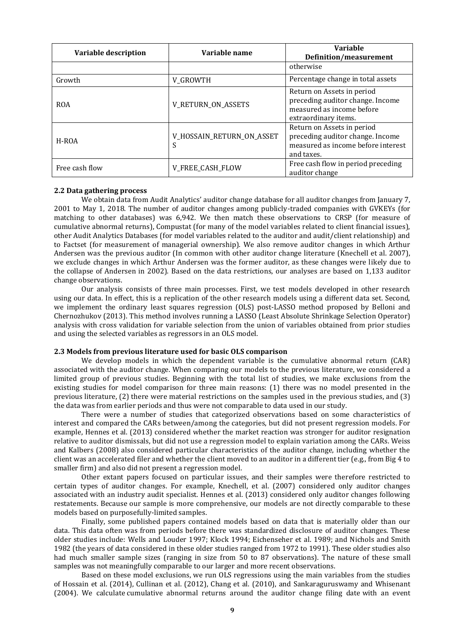| Variable description | Variable name                  | <b>Variable</b><br>Definition/measurement                                                                           |  |  |
|----------------------|--------------------------------|---------------------------------------------------------------------------------------------------------------------|--|--|
|                      |                                | otherwise                                                                                                           |  |  |
| Growth               | V_GROWTH                       | Percentage change in total assets                                                                                   |  |  |
| <b>ROA</b>           | <b>V_RETURN_ON_ASSETS</b>      | Return on Assets in period<br>preceding auditor change. Income<br>measured as income before<br>extraordinary items. |  |  |
| H-ROA                | V_HOSSAIN_RETURN_ON_ASSET<br>S | Return on Assets in period<br>preceding auditor change. Income<br>measured as income before interest<br>and taxes.  |  |  |
| Free cash flow       | <b>V_FREE_CASH_FLOW</b>        | Free cash flow in period preceding<br>auditor change                                                                |  |  |

### **2.2 Data gathering process**

We obtain data from Audit Analytics' auditor change database for all auditor changes from January 7, 2001 to May 1, 2018. The number of auditor changes among publicly-traded companies with GVKEYs (for matching to other databases) was 6,942. We then match these observations to CRSP (for measure of cumulative abnormal returns), Compustat (for many of the model variables related to client financial issues), other Audit Analytics Databases (for model variables related to the auditor and audit/client relationship) and to Factset (for measurement of managerial ownership). We also remove auditor changes in which Arthur Andersen was the previous auditor (In common with other auditor change literature (Knechell et al. 2007), we exclude changes in which Arthur Andersen was the former auditor, as these changes were likely due to the collapse of Andersen in 2002). Based on the data restrictions, our analyses are based on 1,133 auditor change observations.

Our analysis consists of three main processes. First, we test models developed in other research using our data. In effect, this is a replication of the other research models using a different data set. Second, we implement the ordinary least squares regression (OLS) post-LASSO method proposed by Belloni and Chernozhukov (2013). This method involves running a LASSO (Least Absolute Shrinkage Selection Operator) analysis with cross validation for variable selection from the union of variables obtained from prior studies and using the selected variables as regressors in an OLS model.

### **2.3 Models from previous literature used for basic OLS comparison**

We develop models in which the dependent variable is the cumulative abnormal return (CAR) associated with the auditor change. When comparing our models to the previous literature, we considered a limited group of previous studies. Beginning with the total list of studies, we make exclusions from the existing studies for model comparison for three main reasons: (1) there was no model presented in the previous literature, (2) there were material restrictions on the samples used in the previous studies, and (3) the data was from earlier periods and thus were not comparable to data used in our study.

There were a number of studies that categorized observations based on some characteristics of interest and compared the CARs between/among the categories, but did not present regression models. For example, Hennes et al. (2013) considered whether the market reaction was stronger for auditor resignation relative to auditor dismissals, but did not use a regression model to explain variation among the CARs. Weiss and Kalbers (2008) also considered particular characteristics of the auditor change, including whether the client was an accelerated filer and whether the client moved to an auditor in a different tier (e.g., from Big 4 to smaller firm) and also did not present a regression model.

Other extant papers focused on particular issues, and their samples were therefore restricted to certain types of auditor changes. For example, Knechell, et al. (2007) considered only auditor changes associated with an industry audit specialist. Hennes et al. (2013) considered only auditor changes following restatements. Because our sample is more comprehensive, our models are not directly comparable to these models based on purposefully-limited samples.

Finally, some published papers contained models based on data that is materially older than our data. This data often was from periods before there was standardized disclosure of auditor changes. These older studies include: Wells and Louder 1997; Klock 1994; Eichenseher et al. 1989; and Nichols and Smith 1982 (the years of data considered in these older studies ranged from 1972 to 1991). These older studies also had much smaller sample sizes (ranging in size from 50 to 87 observations). The nature of these small samples was not meaningfully comparable to our larger and more recent observations.

Based on these model exclusions, we run OLS regressions using the main variables from the studies of Hossain et al. (2014), Cullinan et al. (2012), Chang et al. (2010), and Sankaraguruswamy and Whisenant (2004). We calculate cumulative abnormal returns around the auditor change filing date with an event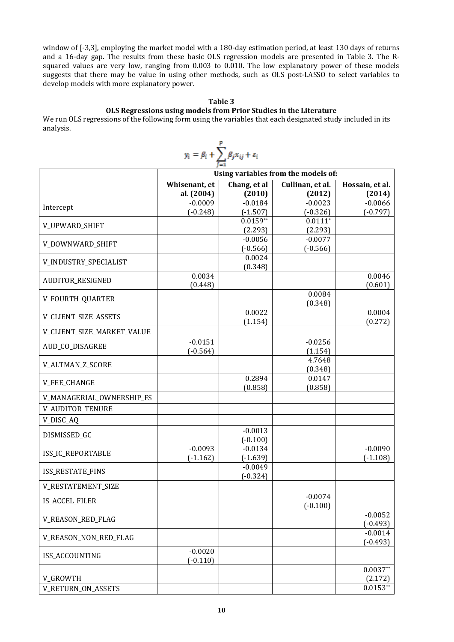window of [-3,3], employing the market model with a 180-day estimation period, at least 130 days of returns and a 16-day gap. The results from these basic OLS regression models are presented in Table 3. The Rsquared values are very low, ranging from 0.003 to 0.010. The low explanatory power of these models suggests that there may be value in using other methods, such as OLS post-LASSO to select variables to develop models with more explanatory power.

# **Table 3**

# **OLS Regressions using models from Prior Studies in the Literature**

We run OLS regressions of the following form using the variables that each designated study included in its analysis.

| $y_i = \beta_i + \sum_{j=1}^{P} \beta_j x_{ij} + \varepsilon_i$ | Using variables from the models of: |         |        |         |
|-----------------------------------------------------------------|-------------------------------------|---------|--------|---------|
| Whisenant, et al. (2004)                                        | Chung et al. Cullman, et al. (2014) |         |        |         |
| Intercept                                                       | 0.0009                              | 0.0184  | 0.0023 | 0.0066  |
| V_LUVWARD_SHIFT                                                 | 0.0023                              | 0.0104  | 0.0023 | 0.00066 |
| V_LDVWARD_SHIFT                                                 | 0.0056                              | 0.0077  | 0.0111 |         |
| V_DOWNWARD_SHIFT                                                | 0.0034                              | 0.0024  |        |         |
| V_LDWJSTRY_SPECLALIST                                           | 0.0034                              | 0.0046  |        |         |
| W_LDURTRY_SPECLALIST                                            | 0.0034                              | 0.0084  |        |         |
| W_LURTH, QUARTER                                                | 0.0034                              | 0.0084  | 0.0046 |         |
| V_LURHT, SIZE, MARKET_VALUE                                     | 0.0022                              | 0.0004  |        |         |
| V_LURTN_SIZE                                                    | 0.0034                              | 0.0022  | 0.0004 |         |
| V_LPE, CHANCE                                                   | 0.0151                              | -0.0256 |        |         |
| V_MMAGERIMCE                                                    | 0.0151                              | -0.0269 |        |         |
| V_MR/GERIMCE                                                    | 0.2894                              | 0.0147  |        |         |
| V_FEE, CHANCE                                                   | 0.0003                              | 0.0134  |        |         |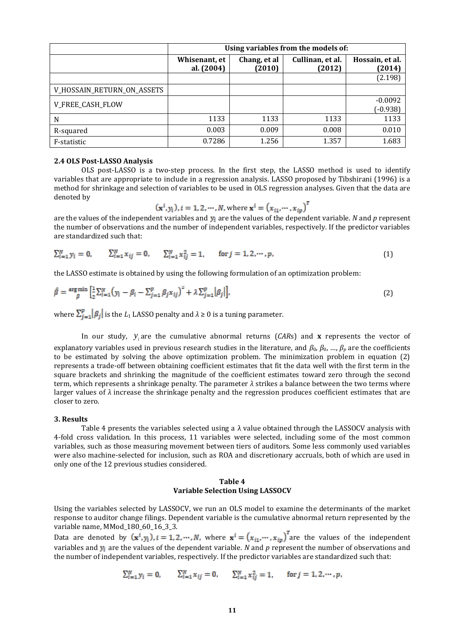|                            | Using variables from the models of: |                        |                            |                           |  |  |  |  |
|----------------------------|-------------------------------------|------------------------|----------------------------|---------------------------|--|--|--|--|
|                            | Whisenant, et<br>al. (2004)         | Chang, et al<br>(2010) | Cullinan, et al.<br>(2012) | Hossain, et al.<br>(2014) |  |  |  |  |
|                            |                                     |                        |                            | (2.198)                   |  |  |  |  |
| V_HOSSAIN_RETURN_ON_ASSETS |                                     |                        |                            |                           |  |  |  |  |
| V_FREE_CASH_FLOW           |                                     |                        |                            | $-0.0092$<br>$(-0.938)$   |  |  |  |  |
| N                          | 1133                                | 1133                   | 1133                       | 1133                      |  |  |  |  |
| R-squared                  | 0.003                               | 0.009                  | 0.008                      | 0.010                     |  |  |  |  |
| F-statistic                | 0.7286                              | 1.256                  | 1.357                      | 1.683                     |  |  |  |  |

#### **2.4 OLS Post-LASSO Analysis**

OLS post-LASSO is a two-step process. In the first step, the LASSO method is used to identify variables that are appropriate to include in a regression analysis. LASSO proposed by Tibshirani (1996) is a method for shrinkage and selection of variables to be used in OLS regression analyses. Given that the data are denoted by

$$
(\mathbf{x}^i, y_i), i = 1, 2, \cdots, N, \text{ where } \mathbf{x}^i = (x_{i1}, \cdots, x_{ip})^T
$$

are the values of the independent variables and  $y_i$  are the values of the dependent variable. *N* and *p* represent the number of observations and the number of independent variables, respectively. If the predictor variables are standardized such that:

$$
\sum_{i=1}^{N} y_i = 0, \qquad \sum_{i=1}^{N} x_{ij} = 0, \qquad \sum_{i=1}^{N} x_{ij}^2 = 1, \qquad \text{for } j = 1, 2, \cdots, p,
$$
\n(1)

the LASSO estimate is obtained by using the following formulation of an optimization problem:

$$
\hat{\beta} = \frac{\arg \min}{\beta} \left[ \frac{1}{2} \sum_{i=1}^{N} \left( y_i - \beta_i - \sum_{j=1}^{p} \beta_j x_{ij} \right)^2 + \lambda \sum_{j=1}^{p} \left| \beta_j \right| \right],\tag{2}
$$

where  $\sum_{i=1}^{p} |\beta_i|$  is the *L*<sub>1</sub> LASSO penalty and  $\lambda \ge 0$  is a tuning parameter.

In our study,  $y_i$  are the cumulative abnormal returns (CARs) and **x** represents the vector of explanatory variables used in previous research studies in the literature, and  $\beta_0$ ,  $\beta_0$ , ...,  $\beta_p$  are the coefficients to be estimated by solving the above optimization problem. The minimization problem in equation (2) represents a trade-off between obtaining coefficient estimates that fit the data well with the first term in the square brackets and shrinking the magnitude of the coefficient estimates toward zero through the second term, which represents a shrinkage penalty. The parameter *λ* strikes a balance between the two terms where larger values of  $\lambda$  increase the shrinkage penalty and the regression produces coefficient estimates that are closer to zero.

#### **3. Results**

Table 4 presents the variables selected using a  $\lambda$  value obtained through the LASSOCV analysis with 4-fold cross validation. In this process, 11 variables were selected, including some of the most common variables, such as those measuring movement between tiers of auditors. Some less commonly used variables were also machine-selected for inclusion, such as ROA and discretionary accruals, both of which are used in only one of the 12 previous studies considered.

# **Table 4 Variable Selection Using LASSOCV**

Using the variables selected by LASSOCV, we run an OLS model to examine the determinants of the market response to auditor change filings. Dependent variable is the cumulative abnormal return represented by the variable name, MMod\_180\_60\_16\_3\_3.

Data are denoted by  $(\mathbf{x}^{i}, y_i)$ ,  $i = 1, 2, \cdots, N$ , where  $\mathbf{x}^{i} = (x_{i1}, \cdots, x_{ip})^T$  are the values of the independent variables and  $y_i$  are the values of the dependent variable. *N* and *p* represent the number of observations and the number of independent variables, respectively. If the predictor variables are standardized such that:

$$
\sum_{i=1}^{N} y_i = 0, \qquad \sum_{i=1}^{N} x_{ij} = 0, \qquad \sum_{i=1}^{N} x_{ij}^2 = 1, \qquad \text{for } j = 1, 2, \cdots, p,
$$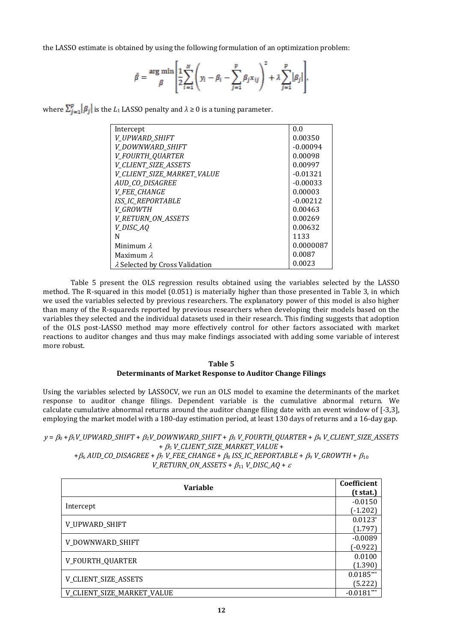the LASSO estimate is obtained by using the following formulation of an optimization problem:

$$
\hat{\beta} = \frac{\arg \min \left[ \frac{1}{2} \sum_{i=1}^{N} \left( y_i - \beta_i - \sum_{j=1}^{p} \beta_j x_{ij} \right)^2 + \lambda \sum_{j=1}^{p} |\beta_j| \right],
$$

where  $\sum_{j=1}^{p} |\beta_j|$  is the *L*<sub>1</sub> LASSO penalty and  $\lambda \geq 0$  is a tuning parameter.

| Intercept                      | 0.0        |
|--------------------------------|------------|
| V UPWARD SHIFT                 | 0.00350    |
| V_DOWNWARD_SHIFT               | $-0.00094$ |
| V_FOURTH_QUARTER               | 0.00098    |
| <b>V_CLIENT_SIZE_ASSETS</b>    | 0.00997    |
| V_CLIENT_SIZE_MARKET_VALUE     | $-0.01321$ |
| AUD_CO_DISAGREE                | $-0.00033$ |
| <b>V FEE CHANGE</b>            | 0.00003    |
| <b>ISS_IC_REPORTABLE</b>       | $-0.00212$ |
| V GROWTH                       | 0.00463    |
| <b>V_RETURN_ON_ASSETS</b>      | 0.00269    |
| V_DISC_AQ                      | 0.00632    |
| N                              | 1133       |
| Minimum $\lambda$              | 0.0000087  |
| Maximum $\lambda$              | 0.0087     |
| λ Selected by Cross Validation | 0.0023     |

Table 5 present the OLS regression results obtained using the variables selected by the LASSO method. The R-squared in this model (0.051) is materially higher than those presented in Table 3, in which we used the variables selected by previous researchers. The explanatory power of this model is also higher than many of the R-squareds reported by previous researchers when developing their models based on the variables they selected and the individual datasets used in their research. This finding suggests that adoption of the OLS post-LASSO method may more effectively control for other factors associated with market reactions to auditor changes and thus may make findings associated with adding some variable of interest more robust.

# **Table 5 Determinants of Market Response to Auditor Change Filings**

Using the variables selected by LASSOCV, we run an OLS model to examine the determinants of the market response to auditor change filings. Dependent variable is the cumulative abnormal return. We calculate cumulative abnormal returns around the auditor change filing date with an event window of [-3,3], employing the market model with a 180-day estimation period, at least 130 days of returns and a 16-day gap.

# $y = \beta_0 + \beta_1 V \_UPWARD\_SHIFT + \beta_2 V \_DOWNWARD\_SHIFT + \beta_3 V \_FOURTH \_QUARTER + \beta_4 V \_CLIENT\_SIZE \_ASESTS$  $+$   $\beta$ <sub>5</sub> *V\_CLIENT\_SIZE\_MARKET\_VALUE* +

 $+ \beta_6 AUD\_CO\_DISAGREE + \beta_7 V\_FEE\_CHANGE + \beta_8 ISS\_IC\_REPORTABLE + \beta_9 V\_GROWTH + \beta_{10}$  $V\_RETURN\_ON\_ASSETS + \beta_{11} V\_DISC\_AQ + \varepsilon$ 

| <b>Variable</b>      |            |                            |
|----------------------|------------|----------------------------|
|                      |            |                            |
|                      |            |                            |
| Intercept            | $(-1.202)$ |                            |
| V_UPWARD_SHIFT       |            |                            |
|                      | (1.797)    |                            |
|                      | $-0.0089$  |                            |
| V_DOWNWARD_SHIFT     | $(-0.922)$ |                            |
| V_FOURTH_QUARTER     |            |                            |
|                      | (1.390)    |                            |
| V_CLIENT_SIZE_ASSETS |            |                            |
|                      |            | V_CLIENT_SIZE_MARKET_VALUE |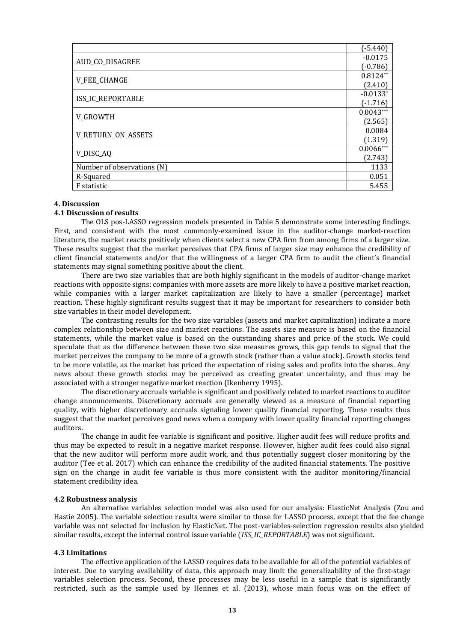|                            | $(-5.440)$  |
|----------------------------|-------------|
| AUD_CO_DISAGREE            |             |
|                            |             |
|                            |             |
| <b>ISS_IC_REPORTABLE</b>   | $(-1.716)$  |
| V_GROWTH                   | $0.0043***$ |
|                            | (2.565)     |
|                            | 0.0084      |
| V_RETURN_ON_ASSETS         |             |
| V_DISC_AQ                  | $0.0066***$ |
|                            | (2.743)     |
| Number of observations (N) |             |
| R-Squared                  |             |
| F statistic                | 5.455       |

### **4. Discussion**

# **4.1 Discussion of results**

The OLS pos-LASSO regression models presented in Table 5 demonstrate some interesting findings. First, and consistent with the most commonly-examined issue in the auditor-change market-reaction literature, the market reacts positively when clients select a new CPA firm from among firms of a larger size. These results suggest that the market perceives that CPA firms of larger size may enhance the credibility of client financial statements and/or that the willingness of a larger CPA firm to audit the client's financial statements may signal something positive about the client.

There are two size variables that are both highly significant in the models of auditor-change market reactions with opposite signs: companies with more assets are more likely to have a positive market reaction, while companies with a larger market capitalization are likely to have a smaller (percentage) market reaction. These highly significant results suggest that it may be important for researchers to consider both size variables in their model development.

The contrasting results for the two size variables (assets and market capitalization) indicate a more complex relationship between size and market reactions. The assets size measure is based on the financial statements, while the market value is based on the outstanding shares and price of the stock. We could speculate that as the difference between these two size measures grows, this gap tends to signal that the market perceives the company to be more of a growth stock (rather than a value stock). Growth stocks tend to be more volatile, as the market has priced the expectation of rising sales and profits into the shares. Any news about these growth stocks may be perceived as creating greater uncertainty, and thus may be associated with a stronger negative market reaction (Ikenberry 1995).

The discretionary accruals variable is significant and positively related to market reactions to auditor change announcements. Discretionary accruals are generally viewed as a measure of financial reporting quality, with higher discretionary accruals signaling lower quality financial reporting. These results thus suggest that the market perceives good news when a company with lower quality financial reporting changes auditors.

The change in audit fee variable is significant and positive. Higher audit fees will reduce profits and thus may be expected to result in a negative market response. However, higher audit fees could also signal that the new auditor will perform more audit work, and thus potentially suggest closer monitoring by the auditor (Tee et al. 2017) which can enhance the credibility of the audited financial statements. The positive sign on the change in audit fee variable is thus more consistent with the auditor monitoring/financial statement credibility idea.

## **4.2 Robustness analysis**

An alternative variables selection model was also used for our analysis: ElasticNet Analysis (Zou and Hastie 2005). The variable selection results were similar to those for LASSO process, except that the fee change variable was not selected for inclusion by ElasticNet. The post-variables-selection regression results also yielded similar results, except the internal control issue variable (*ISS\_IC\_REPORTABLE*) was not significant.

## **4.3 Limitations**

The effective application of the LASSO requires data to be available for all of the potential variables of interest. Due to varying availability of data, this approach may limit the generalizability of the first-stage variables selection process. Second, these processes may be less useful in a sample that is significantly restricted, such as the sample used by Hennes et al. (2013), whose main focus was on the effect of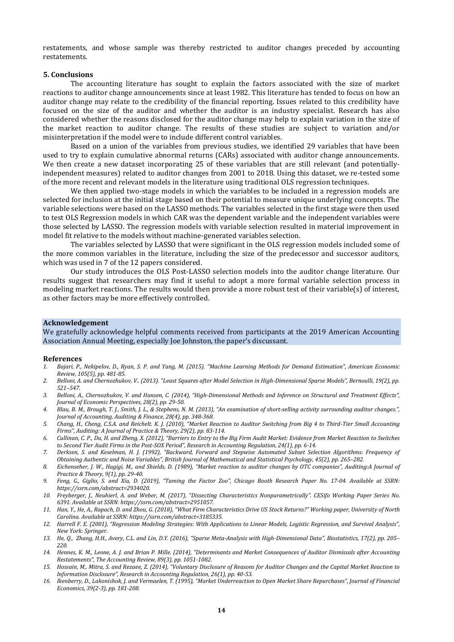restatements, and whose sample was thereby restricted to auditor changes preceded by accounting restatements.

#### **5. Conclusions**

The accounting literature has sought to explain the factors associated with the size of market reactions to auditor change announcements since at least 1982. This literature has tended to focus on how an auditor change may relate to the credibility of the financial reporting. Issues related to this credibility have focused on the size of the auditor and whether the auditor is an industry specialist. Research has also considered whether the reasons disclosed for the auditor change may help to explain variation in the size of the market reaction to auditor change. The results of these studies are subject to variation and/or misinterpretation if the model were to include different control variables.

Based on a union of the variables from previous studies, we identified 29 variables that have been used to try to explain cumulative abnormal returns (CARs) associated with auditor change announcements. We then create a new dataset incorporating 25 of these variables that are still relevant (and potentiallyindependent measures) related to auditor changes from 2001 to 2018. Using this dataset, we re-tested some of the more recent and relevant models in the literature using traditional OLS regression techniques.

We then applied two-stage models in which the variables to be included in a regression models are selected for inclusion at the initial stage based on their potential to measure unique underlying concepts. The variable selections were based on the LASSO methods. The variables selected in the first stage were then used to test OLS Regression models in which CAR was the dependent variable and the independent variables were those selected by LASSO. The regression models with variable selection resulted in material improvement in model fit relative to the models without machine-generated variables selection.

The variables selected by LASSO that were significant in the OLS regression models included some of the more common variables in the literature, including the size of the predecessor and successor auditors, which was used in 7 of the 12 papers considered.

Our study introduces the OLS Post-LASSO selection models into the auditor change literature. Our results suggest that researchers may find it useful to adopt a more formal variable selection process in modeling market reactions. The results would then provide a more robust test of their variable(s) of interest, as other factors may be more effectively controlled.

# **Acknowledgement**

We gratefully acknowledge helpful comments received from participants at the 2019 American Accounting Association Annual Meeting, especially Joe Johnston, the paper's discussant.

#### **References**

- *1. Bajari, P., Nekipelov, D., Ryan, S. P. and Yang, M. (2015). "Machine Learning Methods for Demand Estimation", American Economic Review, 105(5), pp. 481-85.*
- *2. Belloni, A. and Chernozhukov, V.. (2013). "Least Squares after Model Selection in High-Dimensional Sparse Models", Bernoulli, 19(2), pp. 521–547.*
- *3. Belloni, A., Chernozhukov, V. and Hansen, C. (2014), "High-Dimensional Methods and Inference on Structural and Treatment Effects", Journal of Economic Perspectives, 28(2), pp. 29-50.*
- *4. Blau, B. M., Brough, T. J., Smith, J. L., & Stephens, N. M. (2013), "An examination of short-selling activity surrounding auditor changes.", Journal of Accounting, Auditing & Finance, 28(4), pp. 348-368.*
- *5. Chang, H., Cheng, C.S.A. and Reichelt. K. J. (2010), "Market Reaction to Auditor Switching from Big 4 to Third-Tier Small Accounting Firms", Auditing: A Journal of Practice & Theory, 29(2), pp. 83-114.*
- 6. Cullinan, C. P., Du, H. and Zheng, X. (2012), "Barriers to Entry to the Big Firm Audit Market: Evidence from Market Reaction to Switches *to Second Tier Audit Firms in the Post-SOX Period", Research in Accounting Regulation, 24(1), pp. 6-14.*
- *7. Derksen, S. and Keselman, H. J. (1992), "Backward, Forward and Stepwise Automated Subset Selection Algorithms: Frequency of Obtaining Authentic and Noise Variables", British Journal of Mathematical and Statistical Psychology, 45(2), pp. 265–282.*
- *8. Eichenseher, J. W., Hagigi, M., and Shields, D. (1989), "Market reaction to auditor changes by OTC companies", Auditing:A Journal of Practice & Theory, 9(1), pp. 29-40.*
- *9. Feng, G., Giglio, S. and Xiu, D. (2019), "Taming the Factor Zoo", Chicago Booth Research Paper No. 17-04. Available at SSRN: https://ssrn.com/abstract=2934020.*
- *10. Freyberger, J., Neuhierl, A. and Weber, M. (2017), "Dissecting Characteristics Nonparametrically". CESifo Working Paper Series No. 6391. Available at SSRN: https://ssrn.com/abstract=2951057.*
- *11. Han, Y., He, A., Rapach, D. and Zhou, G. (2018), "What Firm Characteristics Drive US Stock Returns?" Working paper, University of North Carolina. Available at SSRN: https://ssrn.com/abstract=3185335.*
- *12. Harrell F. E. (2001), "Regression Modeling Strategies: With Applications to Linear Models, Logistic Regression, and Survival Analysis", New York: Springer.*
- *13. He, Q., Zhang, H.H., Avery, C.L. and Lin, D.Y. (2016), "Sparse Meta-Analysis with High-Dimensional Data", Biostatistics, 17(2), pp. 205– 220.*
- *14. Hennes, K. M., Leone, A. J. and Brian P. Mille. (2014), "Determinants and Market Consequences of Auditor Dismissals after Accounting Restatements", The Accounting Review, 89(3), pp. 1051-1082.*
- *15. Hossain, M., Mitra, S. and Rezaee, Z. (2014), "Voluntary Disclosure of Reasons for Auditor Changes and the Capital Market Reaction to Information Disclosure", Research in Accounting Regulation, 26(1), pp. 40-53.*
- *16. Ikenberry, D., Lakonishok, J. and Vermaelen, T. (1995), "Market Underreaction to Open Market Share Repurchases", Journal of Financial Economics, 39(2-3), pp. 181-208.*